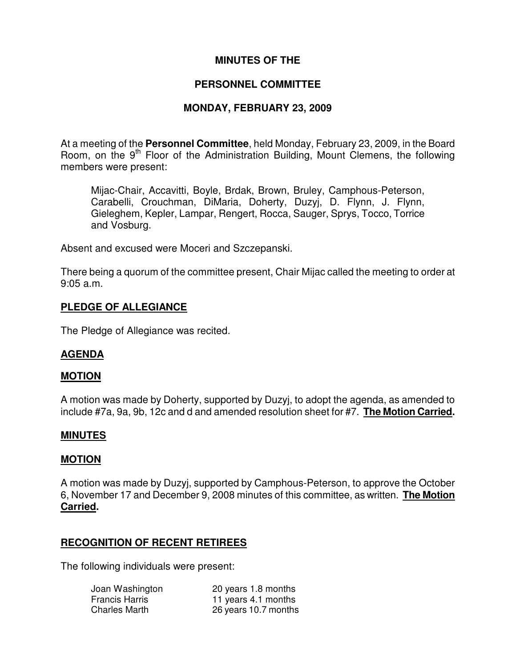## **MINUTES OF THE**

### **PERSONNEL COMMITTEE**

## **MONDAY, FEBRUARY 23, 2009**

At a meeting of the **Personnel Committee**, held Monday, February 23, 2009, in the Board Room, on the 9<sup>th</sup> Floor of the Administration Building, Mount Clemens, the following members were present:

Mijac-Chair, Accavitti, Boyle, Brdak, Brown, Bruley, Camphous-Peterson, Carabelli, Crouchman, DiMaria, Doherty, Duzyj, D. Flynn, J. Flynn, Gieleghem, Kepler, Lampar, Rengert, Rocca, Sauger, Sprys, Tocco, Torrice and Vosburg.

Absent and excused were Moceri and Szczepanski.

There being a quorum of the committee present, Chair Mijac called the meeting to order at 9:05 a.m.

#### **PLEDGE OF ALLEGIANCE**

The Pledge of Allegiance was recited.

### **AGENDA**

#### **MOTION**

A motion was made by Doherty, supported by Duzyj, to adopt the agenda, as amended to include #7a, 9a, 9b, 12c and d and amended resolution sheet for #7. **The Motion Carried.**

### **MINUTES**

#### **MOTION**

A motion was made by Duzyj, supported by Camphous-Peterson, to approve the October 6, November 17 and December 9, 2008 minutes of this committee, as written. **The Motion Carried.**

### **RECOGNITION OF RECENT RETIREES**

The following individuals were present:

| Joan Washington       | 20 years 1.8 months  |
|-----------------------|----------------------|
| <b>Francis Harris</b> | 11 years 4.1 months  |
| <b>Charles Marth</b>  | 26 years 10.7 months |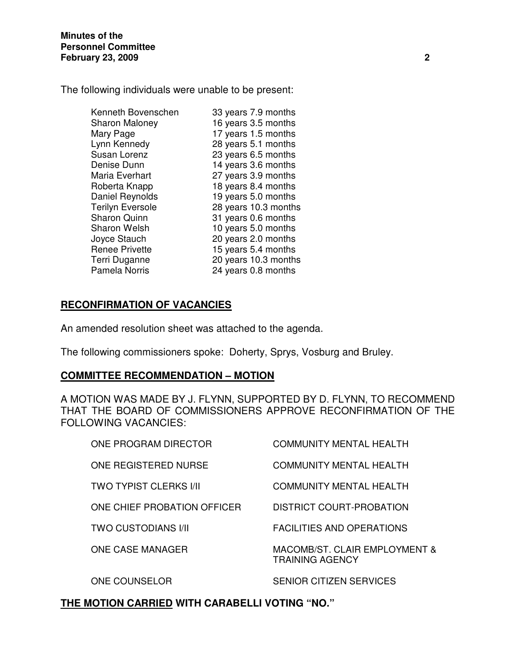The following individuals were unable to be present:

| Kenneth Bovenschen      | 33 years 7.9 months  |
|-------------------------|----------------------|
| <b>Sharon Maloney</b>   | 16 years 3.5 months  |
| Mary Page               | 17 years 1.5 months  |
| Lynn Kennedy            | 28 years 5.1 months  |
| Susan Lorenz            | 23 years 6.5 months  |
| Denise Dunn             | 14 years 3.6 months  |
| Maria Everhart          | 27 years 3.9 months  |
| Roberta Knapp           | 18 years 8.4 months  |
| Daniel Reynolds         | 19 years 5.0 months  |
| <b>Terilyn Eversole</b> | 28 years 10.3 months |
| <b>Sharon Quinn</b>     | 31 years 0.6 months  |
| <b>Sharon Welsh</b>     | 10 years 5.0 months  |
| Joyce Stauch            | 20 years 2.0 months  |
| <b>Renee Privette</b>   | 15 years 5.4 months  |
| Terri Duganne           | 20 years 10.3 months |
| <b>Pamela Norris</b>    | 24 years 0.8 months  |
|                         |                      |

# **RECONFIRMATION OF VACANCIES**

An amended resolution sheet was attached to the agenda.

The following commissioners spoke: Doherty, Sprys, Vosburg and Bruley.

#### **COMMITTEE RECOMMENDATION – MOTION**

A MOTION WAS MADE BY J. FLYNN, SUPPORTED BY D. FLYNN, TO RECOMMEND THAT THE BOARD OF COMMISSIONERS APPROVE RECONFIRMATION OF THE FOLLOWING VACANCIES:

| ONE PROGRAM DIRECTOR          | <b>COMMUNITY MENTAL HEALTH</b>                          |
|-------------------------------|---------------------------------------------------------|
| ONE REGISTERED NURSE          | <b>COMMUNITY MENTAL HEALTH</b>                          |
| <b>TWO TYPIST CLERKS I/II</b> | <b>COMMUNITY MENTAL HEALTH</b>                          |
| ONE CHIEF PROBATION OFFICER   | DISTRICT COURT-PROBATION                                |
| <b>TWO CUSTODIANS I/II</b>    | <b>FACILITIES AND OPERATIONS</b>                        |
| <b>ONE CASE MANAGER</b>       | MACOMB/ST, CLAIR EMPLOYMENT &<br><b>TRAINING AGENCY</b> |
| ONE COUNSELOR                 | <b>SENIOR CITIZEN SERVICES</b>                          |

# **THE MOTION CARRIED WITH CARABELLI VOTING "NO."**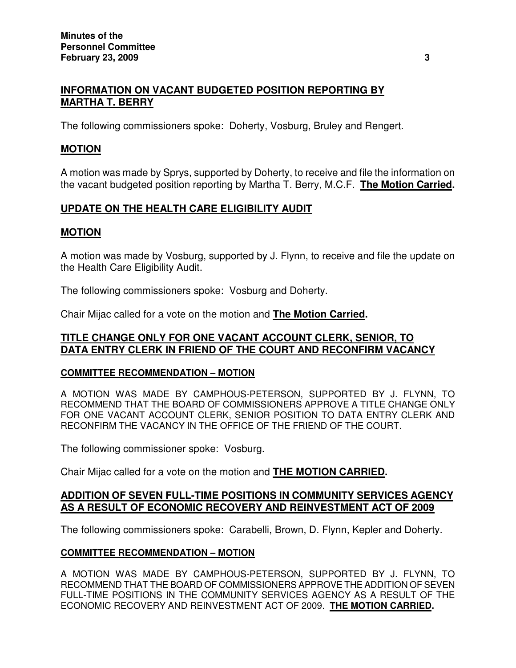## **INFORMATION ON VACANT BUDGETED POSITION REPORTING BY MARTHA T. BERRY**

The following commissioners spoke: Doherty, Vosburg, Bruley and Rengert.

### **MOTION**

A motion was made by Sprys, supported by Doherty, to receive and file the information on the vacant budgeted position reporting by Martha T. Berry, M.C.F. **The Motion Carried.**

## **UPDATE ON THE HEALTH CARE ELIGIBILITY AUDIT**

#### **MOTION**

A motion was made by Vosburg, supported by J. Flynn, to receive and file the update on the Health Care Eligibility Audit.

The following commissioners spoke: Vosburg and Doherty.

Chair Mijac called for a vote on the motion and **The Motion Carried.**

### **TITLE CHANGE ONLY FOR ONE VACANT ACCOUNT CLERK, SENIOR, TO DATA ENTRY CLERK IN FRIEND OF THE COURT AND RECONFIRM VACANCY**

#### **COMMITTEE RECOMMENDATION – MOTION**

A MOTION WAS MADE BY CAMPHOUS-PETERSON, SUPPORTED BY J. FLYNN, TO RECOMMEND THAT THE BOARD OF COMMISSIONERS APPROVE A TITLE CHANGE ONLY FOR ONE VACANT ACCOUNT CLERK, SENIOR POSITION TO DATA ENTRY CLERK AND RECONFIRM THE VACANCY IN THE OFFICE OF THE FRIEND OF THE COURT.

The following commissioner spoke: Vosburg.

Chair Mijac called for a vote on the motion and **THE MOTION CARRIED.**

## **ADDITION OF SEVEN FULL-TIME POSITIONS IN COMMUNITY SERVICES AGENCY AS A RESULT OF ECONOMIC RECOVERY AND REINVESTMENT ACT OF 2009**

The following commissioners spoke: Carabelli, Brown, D. Flynn, Kepler and Doherty.

#### **COMMITTEE RECOMMENDATION – MOTION**

A MOTION WAS MADE BY CAMPHOUS-PETERSON, SUPPORTED BY J. FLYNN, TO RECOMMEND THAT THE BOARD OF COMMISSIONERS APPROVE THE ADDITION OF SEVEN FULL-TIME POSITIONS IN THE COMMUNITY SERVICES AGENCY AS A RESULT OF THE ECONOMIC RECOVERY AND REINVESTMENT ACT OF 2009. **THE MOTION CARRIED.**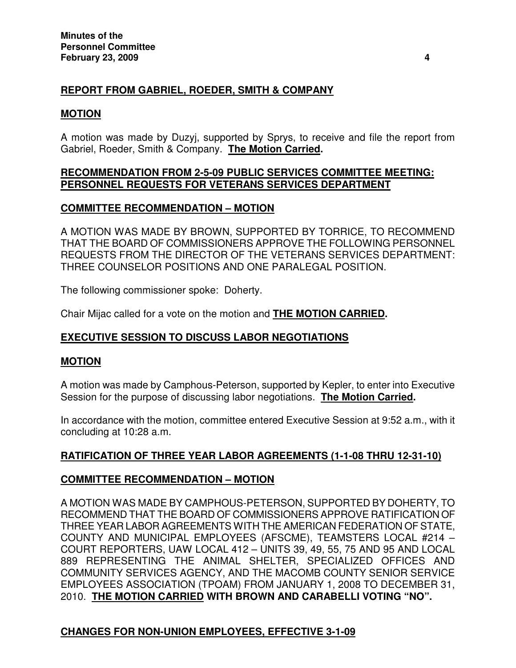# **REPORT FROM GABRIEL, ROEDER, SMITH & COMPANY**

## **MOTION**

A motion was made by Duzyj, supported by Sprys, to receive and file the report from Gabriel, Roeder, Smith & Company. **The Motion Carried.**

## **RECOMMENDATION FROM 2-5-09 PUBLIC SERVICES COMMITTEE MEETING: PERSONNEL REQUESTS FOR VETERANS SERVICES DEPARTMENT**

## **COMMITTEE RECOMMENDATION – MOTION**

A MOTION WAS MADE BY BROWN, SUPPORTED BY TORRICE, TO RECOMMEND THAT THE BOARD OF COMMISSIONERS APPROVE THE FOLLOWING PERSONNEL REQUESTS FROM THE DIRECTOR OF THE VETERANS SERVICES DEPARTMENT: THREE COUNSELOR POSITIONS AND ONE PARALEGAL POSITION.

The following commissioner spoke: Doherty.

Chair Mijac called for a vote on the motion and **THE MOTION CARRIED.**

# **EXECUTIVE SESSION TO DISCUSS LABOR NEGOTIATIONS**

### **MOTION**

A motion was made by Camphous-Peterson, supported by Kepler, to enter into Executive Session for the purpose of discussing labor negotiations. **The Motion Carried.**

In accordance with the motion, committee entered Executive Session at 9:52 a.m., with it concluding at 10:28 a.m.

# **RATIFICATION OF THREE YEAR LABOR AGREEMENTS (1-1-08 THRU 12-31-10)**

# **COMMITTEE RECOMMENDATION – MOTION**

A MOTION WAS MADE BY CAMPHOUS-PETERSON, SUPPORTED BY DOHERTY, TO RECOMMEND THAT THE BOARD OF COMMISSIONERS APPROVE RATIFICATION OF THREE YEAR LABOR AGREEMENTS WITH THE AMERICAN FEDERATION OF STATE, COUNTY AND MUNICIPAL EMPLOYEES (AFSCME), TEAMSTERS LOCAL #214 – COURT REPORTERS, UAW LOCAL 412 – UNITS 39, 49, 55, 75 AND 95 AND LOCAL 889 REPRESENTING THE ANIMAL SHELTER, SPECIALIZED OFFICES AND COMMUNITY SERVICES AGENCY, AND THE MACOMB COUNTY SENIOR SERVICE EMPLOYEES ASSOCIATION (TPOAM) FROM JANUARY 1, 2008 TO DECEMBER 31, 2010. **THE MOTION CARRIED WITH BROWN AND CARABELLI VOTING "NO".**

# **CHANGES FOR NON-UNION EMPLOYEES, EFFECTIVE 3-1-09**